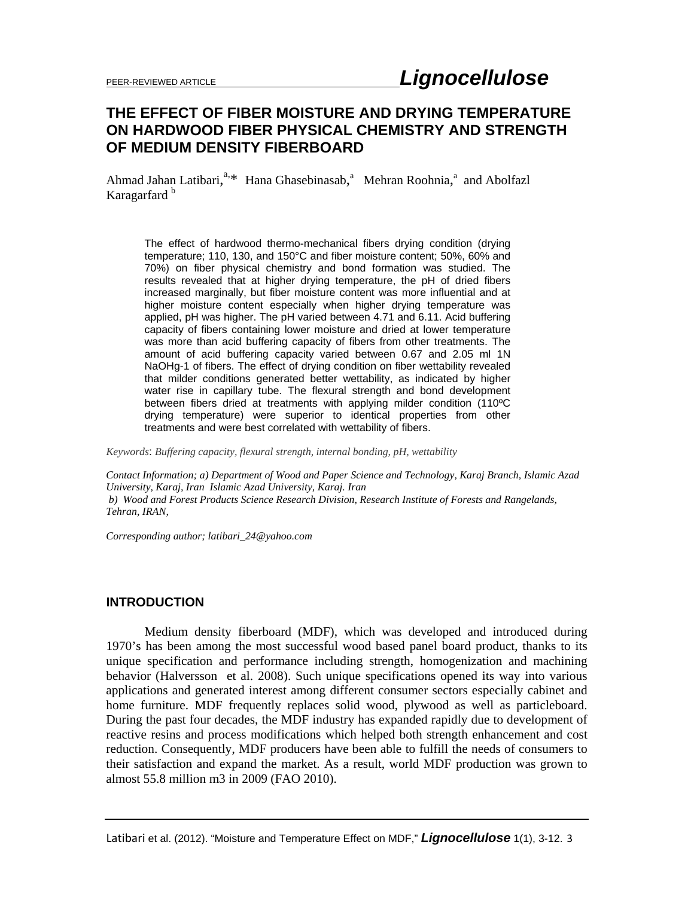# **THE EFFECT OF FIBER MOISTURE AND DRYING TEMPERATURE ON HARDWOOD FIBER PHYSICAL CHEMISTRY AND STRENGTH OF MEDIUM DENSITY FIBERBOARD**

Ahmad Jahan Latibari, <sup>a,\*</sup> Hana Ghasebinasab, <sup>a</sup> Mehran Roohnia, <sup>a</sup> and Abolfazl Karagarfard<sup>b</sup>

The effect of hardwood thermo-mechanical fibers drying condition (drying temperature; 110, 130, and 150°C and fiber moisture content; 50%, 60% and 70%) on fiber physical chemistry and bond formation was studied. The results revealed that at higher drying temperature, the pH of dried fibers increased marginally, but fiber moisture content was more influential and at higher moisture content especially when higher drying temperature was applied, pH was higher. The pH varied between 4.71 and 6.11. Acid buffering capacity of fibers containing lower moisture and dried at lower temperature was more than acid buffering capacity of fibers from other treatments. The amount of acid buffering capacity varied between 0.67 and 2.05 ml 1N NaOHg-1 of fibers. The effect of drying condition on fiber wettability revealed that milder conditions generated better wettability, as indicated by higher water rise in capillary tube. The flexural strength and bond development between fibers dried at treatments with applying milder condition (110ºC drying temperature) were superior to identical properties from other treatments and were best correlated with wettability of fibers.

*Keywords*: *Buffering capacity, flexural strength, internal bonding, pH, wettability* 

*Contact Information; a) Department of Wood and Paper Science and Technology, Karaj Branch, Islamic Azad University, Karaj, Iran Islamic Azad University, Karaj. Iran b) Wood and Forest Products Science Research Division, Research Institute of Forests and Rangelands, Tehran, IRAN,* 

*Corresponding author; latibari\_24@yahoo.com* 

# **INTRODUCTION**

Medium density fiberboard (MDF), which was developed and introduced during 1970's has been among the most successful wood based panel board product, thanks to its unique specification and performance including strength, homogenization and machining behavior (Halversson et al. 2008). Such unique specifications opened its way into various applications and generated interest among different consumer sectors especially cabinet and home furniture. MDF frequently replaces solid wood, plywood as well as particleboard. During the past four decades, the MDF industry has expanded rapidly due to development of reactive resins and process modifications which helped both strength enhancement and cost reduction. Consequently, MDF producers have been able to fulfill the needs of consumers to their satisfaction and expand the market. As a result, world MDF production was grown to almost 55.8 million m3 in 2009 (FAO 2010).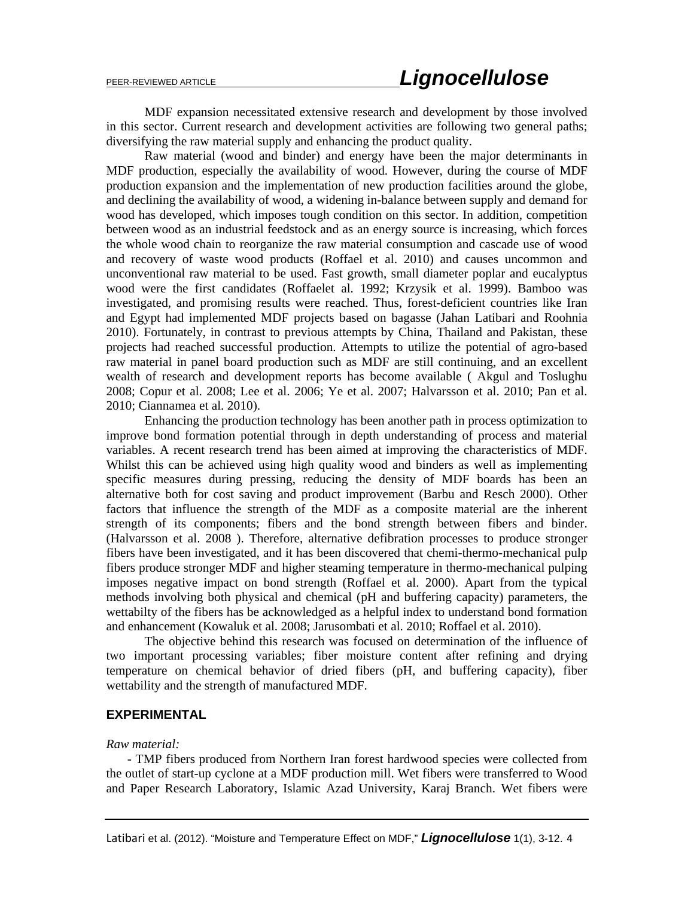MDF expansion necessitated extensive research and development by those involved in this sector. Current research and development activities are following two general paths; diversifying the raw material supply and enhancing the product quality.

Raw material (wood and binder) and energy have been the major determinants in MDF production, especially the availability of wood. However, during the course of MDF production expansion and the implementation of new production facilities around the globe, and declining the availability of wood, a widening in-balance between supply and demand for wood has developed, which imposes tough condition on this sector. In addition, competition between wood as an industrial feedstock and as an energy source is increasing, which forces the whole wood chain to reorganize the raw material consumption and cascade use of wood and recovery of waste wood products (Roffael et al. 2010) and causes uncommon and unconventional raw material to be used. Fast growth, small diameter poplar and eucalyptus wood were the first candidates (Roffaelet al. 1992; Krzysik et al. 1999). Bamboo was investigated, and promising results were reached. Thus, forest-deficient countries like Iran and Egypt had implemented MDF projects based on bagasse (Jahan Latibari and Roohnia 2010). Fortunately, in contrast to previous attempts by China, Thailand and Pakistan, these projects had reached successful production. Attempts to utilize the potential of agro-based raw material in panel board production such as MDF are still continuing, and an excellent wealth of research and development reports has become available ( Akgul and Toslughu 2008; Copur et al. 2008; Lee et al. 2006; Ye et al. 2007; Halvarsson et al. 2010; Pan et al. 2010; Ciannamea et al. 2010).

Enhancing the production technology has been another path in process optimization to improve bond formation potential through in depth understanding of process and material variables. A recent research trend has been aimed at improving the characteristics of MDF. Whilst this can be achieved using high quality wood and binders as well as implementing specific measures during pressing, reducing the density of MDF boards has been an alternative both for cost saving and product improvement (Barbu and Resch 2000). Other factors that influence the strength of the MDF as a composite material are the inherent strength of its components; fibers and the bond strength between fibers and binder. (Halvarsson et al. 2008 ). Therefore, alternative defibration processes to produce stronger fibers have been investigated, and it has been discovered that chemi-thermo-mechanical pulp fibers produce stronger MDF and higher steaming temperature in thermo-mechanical pulping imposes negative impact on bond strength (Roffael et al. 2000). Apart from the typical methods involving both physical and chemical (pH and buffering capacity) parameters, the wettabilty of the fibers has be acknowledged as a helpful index to understand bond formation and enhancement (Kowaluk et al. 2008; Jarusombati et al. 2010; Roffael et al. 2010).

The objective behind this research was focused on determination of the influence of two important processing variables; fiber moisture content after refining and drying temperature on chemical behavior of dried fibers (pH, and buffering capacity), fiber wettability and the strength of manufactured MDF.

## **EXPERIMENTAL**

#### *Raw material:*

- TMP fibers produced from Northern Iran forest hardwood species were collected from the outlet of start-up cyclone at a MDF production mill. Wet fibers were transferred to Wood and Paper Research Laboratory, Islamic Azad University, Karaj Branch. Wet fibers were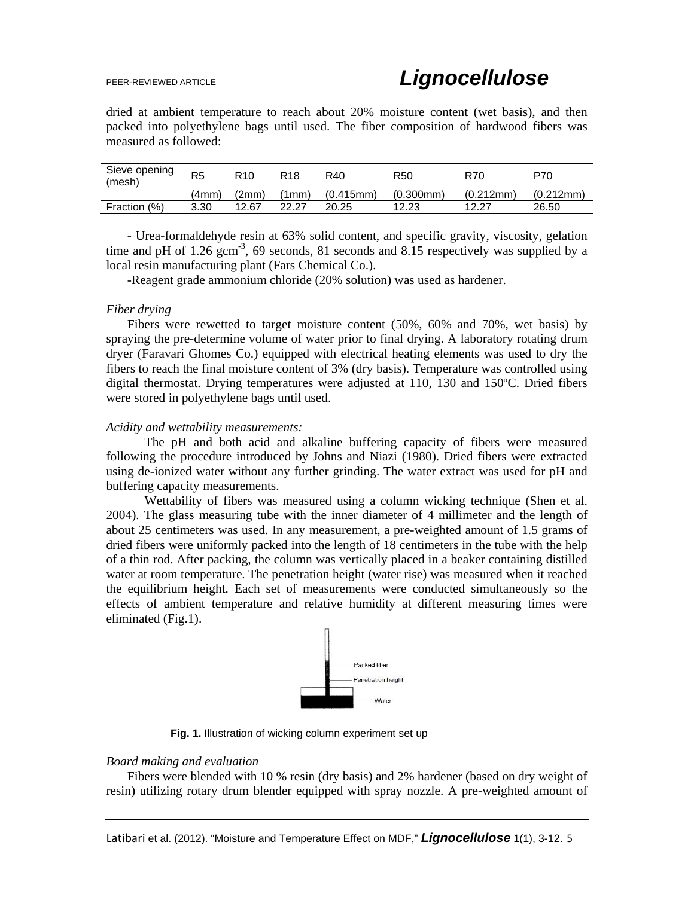dried at ambient temperature to reach about 20% moisture content (wet basis), and then packed into polyethylene bags until used. The fiber composition of hardwood fibers was measured as followed:

| Sieve opening<br>(mesh) | R <sub>5</sub><br>R10 |       | R <sub>18</sub><br>R40 |           | R50       | R70       | P70       |  |
|-------------------------|-----------------------|-------|------------------------|-----------|-----------|-----------|-----------|--|
|                         | (4mm)                 | 2mm)  | 1mm)                   | (0.415mm) | (0.300mm) | (0.212mm) | (0.212mm) |  |
| Fraction (%)            | 3.30                  | 12.67 | 22.27                  | 20.25     | 12 23     |           | 26.50     |  |

- Urea-formaldehyde resin at 63% solid content, and specific gravity, viscosity, gelation time and pH of 1.26 gcm<sup>-3</sup>, 69 seconds, 81 seconds and 8.15 respectively was supplied by a local resin manufacturing plant (Fars Chemical Co.).

-Reagent grade ammonium chloride (20% solution) was used as hardener.

#### *Fiber drying*

Fibers were rewetted to target moisture content (50%, 60% and 70%, wet basis) by spraying the pre-determine volume of water prior to final drying. A laboratory rotating drum dryer (Faravari Ghomes Co.) equipped with electrical heating elements was used to dry the fibers to reach the final moisture content of 3% (dry basis). Temperature was controlled using digital thermostat. Drying temperatures were adjusted at 110, 130 and 150ºC. Dried fibers were stored in polyethylene bags until used.

# *Acidity and wettability measurements:*

The pH and both acid and alkaline buffering capacity of fibers were measured following the procedure introduced by Johns and Niazi (1980). Dried fibers were extracted using de-ionized water without any further grinding. The water extract was used for pH and buffering capacity measurements.

Wettability of fibers was measured using a column wicking technique (Shen et al. 2004). The glass measuring tube with the inner diameter of 4 millimeter and the length of about 25 centimeters was used. In any measurement, a pre-weighted amount of 1.5 grams of dried fibers were uniformly packed into the length of 18 centimeters in the tube with the help of a thin rod. After packing, the column was vertically placed in a beaker containing distilled water at room temperature. The penetration height (water rise) was measured when it reached the equilibrium height. Each set of measurements were conducted simultaneously so the effects of ambient temperature and relative humidity at different measuring times were eliminated (Fig.1).



**Fig. 1.** Illustration of wicking column experiment set up

# *Board making and evaluation*

Fibers were blended with 10 % resin (dry basis) and 2% hardener (based on dry weight of resin) utilizing rotary drum blender equipped with spray nozzle. A pre-weighted amount of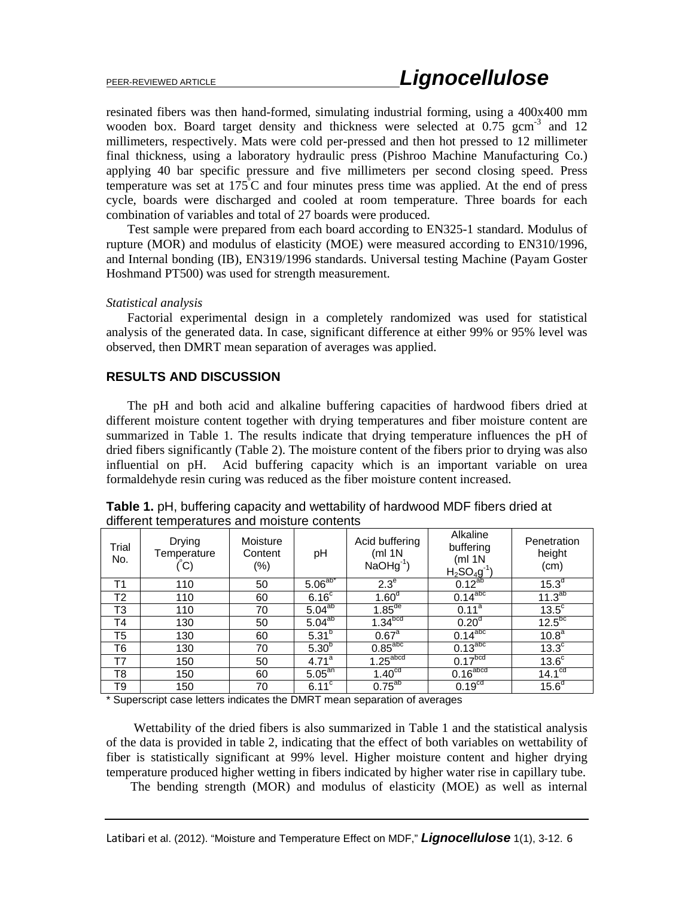resinated fibers was then hand-formed, simulating industrial forming, using a 400x400 mm wooden box. Board target density and thickness were selected at  $0.75 \text{ gcm}^{-3}$  and 12 millimeters, respectively. Mats were cold per-pressed and then hot pressed to 12 millimeter final thickness, using a laboratory hydraulic press (Pishroo Machine Manufacturing Co.) applying 40 bar specific pressure and five millimeters per second closing speed. Press temperature was set at  $175^{\circ}$ C and four minutes press time was applied. At the end of press cycle, boards were discharged and cooled at room temperature. Three boards for each combination of variables and total of 27 boards were produced.

Test sample were prepared from each board according to EN325-1 standard. Modulus of rupture (MOR) and modulus of elasticity (MOE) were measured according to EN310/1996, and Internal bonding (IB), EN319/1996 standards. Universal testing Machine (Payam Goster Hoshmand PT500) was used for strength measurement.

#### *Statistical analysis*

Factorial experimental design in a completely randomized was used for statistical analysis of the generated data. In case, significant difference at either 99% or 95% level was observed, then DMRT mean separation of averages was applied.

# **RESULTS AND DISCUSSION**

The pH and both acid and alkaline buffering capacities of hardwood fibers dried at different moisture content together with drying temperatures and fiber moisture content are summarized in Table 1. The results indicate that drying temperature influences the pH of dried fibers significantly (Table 2). The moisture content of the fibers prior to drying was also influential on pH. Acid buffering capacity which is an important variable on urea formaldehyde resin curing was reduced as the fiber moisture content increased.

| Trial<br>No. | Drying<br>Temperature<br>°C) | Moisture<br>Content<br>(%) | рH                    | Acid buffering<br>(ml 1N<br>$NaOHg^{-1}$ | Alkaline<br>buffering<br>(ml 1N<br>$H_2SO_4g^{-1}$ | Penetration<br>height<br>(cm) |
|--------------|------------------------------|----------------------------|-----------------------|------------------------------------------|----------------------------------------------------|-------------------------------|
| T1           | 110                          | 50                         | $5.06^{ab*}$          | $2.3^e$                                  | $0.12^{ab}$                                        | 15.3 <sup>d</sup>             |
| T2           | 110                          | 60                         | 6.16 <sup>c</sup>     | 1.60 <sup>d</sup>                        | $0.14$ <sup>abc</sup>                              | $11.3^{ab}$                   |
| T3           | 110                          | 70                         | $5.04^{ab}$           | $1.85$ <sup>de</sup>                     | 0.11 <sup>a</sup>                                  | $13.5^{\circ}$                |
| T4           | 130                          | 50                         | $5.04^{ab}$           | 1.34 <sup>bcd</sup>                      | 0.20 <sup>d</sup>                                  | $12.5^{bc}$                   |
| T5           | 130                          | 60                         | $5.31^{b}$            | 0.67 <sup>a</sup>                        | $0.14$ <sup>abc</sup>                              | 10.8 <sup>a</sup>             |
| T6           | 130                          | 70                         | 5.30 <sup>b</sup>     | $0.85$ <sup>abc</sup>                    | $0.13^{\text{abc}}$                                | 13.3 <sup>c</sup>             |
| T7           | 150                          | 50                         | $4.71^{\overline{a}}$ | $1.25$ <sup>abcd</sup>                   | 0.17 <sup>b</sup>                                  | 13.6 <sup>c</sup>             |
| T8           | 150                          | 60                         | 5.05 <sup>an</sup>    | 1.40 <sup>cd</sup>                       | $0.16$ <sup>abcd</sup>                             | 14.1 <sup>cd</sup>            |
| T9           | 150                          | 70                         | 6.11 <sup>c</sup>     | $0.75^{ab}$                              | 0.19 <sup>cd</sup>                                 | 15.6 <sup>d</sup>             |

| <b>Table 1.</b> pH, buffering capacity and wettability of hardwood MDF fibers dried at |  |
|----------------------------------------------------------------------------------------|--|
| different temperatures and moisture contents                                           |  |

\* Superscript case letters indicates the DMRT mean separation of averages

 Wettability of the dried fibers is also summarized in Table 1 and the statistical analysis of the data is provided in table 2, indicating that the effect of both variables on wettability of fiber is statistically significant at 99% level. Higher moisture content and higher drying temperature produced higher wetting in fibers indicated by higher water rise in capillary tube.

The bending strength (MOR) and modulus of elasticity (MOE) as well as internal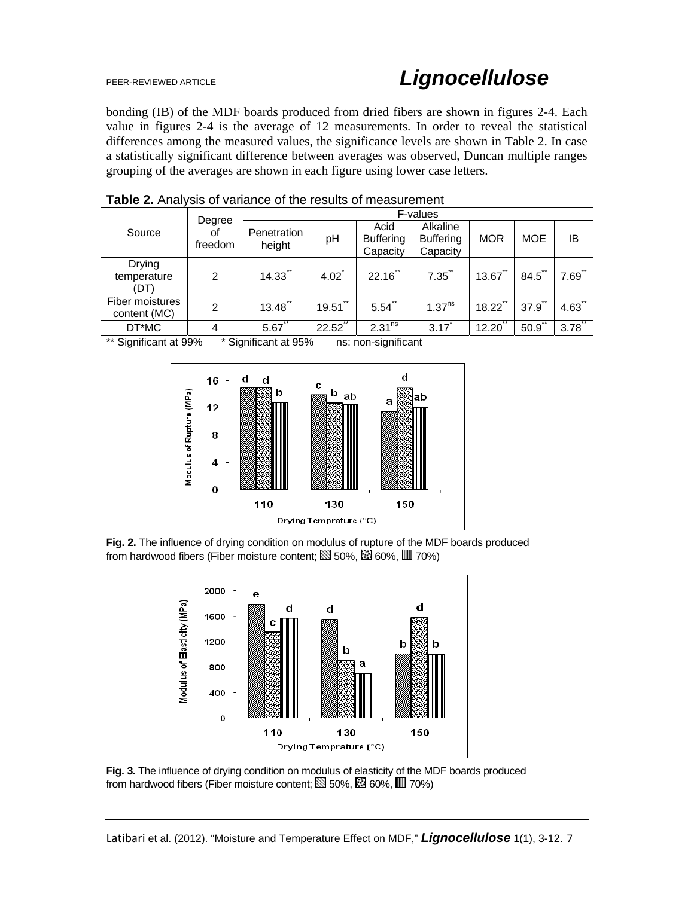# PEER-REVIEWED ARTICLE *Lignocellulose*

bonding (IB) of the MDF boards produced from dried fibers are shown in figures 2-4. Each value in figures 2-4 is the average of 12 measurements. In order to reveal the statistical differences among the measured values, the significance levels are shown in Table 2. In case a statistically significant difference between averages was observed, Duncan multiple ranges grouping of the averages are shown in each figure using lower case letters.

| Source                                                               | Degree<br>οf<br>freedom | F-values              |                     |                                      |                                          |                           |            |           |
|----------------------------------------------------------------------|-------------------------|-----------------------|---------------------|--------------------------------------|------------------------------------------|---------------------------|------------|-----------|
|                                                                      |                         | Penetration<br>height | рH                  | Acid<br><b>Buffering</b><br>Capacity | Alkaline<br><b>Buffering</b><br>Capacity | <b>MOR</b>                | <b>MOE</b> | IB        |
| Drying<br>temperature<br>(DT)                                        | 2                       | $14.33$ <sup>**</sup> | $4.02$ <sup>*</sup> | $22.16$ **                           | $7.35$ **                                | $13.67$ **                | $84.5$ **  | $7.69$ ** |
| Fiber moistures<br>content (MC)                                      | 2                       | 13.48                 | **<br>19.51         | 5.54                                 | 1.37 <sup>ns</sup>                       | **<br>18.22               | $37.9$ **  | $4.63$ ** |
| DT*MC                                                                | 4                       | $5.67$ **             | 22.52               | 2.31 <sup>ns</sup>                   | $3.17$ <sup>*</sup>                      | $**$<br>$12.20^{\degree}$ | **<br>50.9 | $3.78$ ** |
| ** Significant at 99%<br>ns: non-significant<br>* Significant at 95% |                         |                       |                     |                                      |                                          |                           |            |           |

# **Table 2.** Analysis of variance of the results of measurement



**Fig. 2.** The influence of drying condition on modulus of rupture of the MDF boards produced from hardwood fibers (Fiber moisture content;  $\boxtimes$  50%,  $\boxtimes$  60%,  $\boxtimes$  70%)



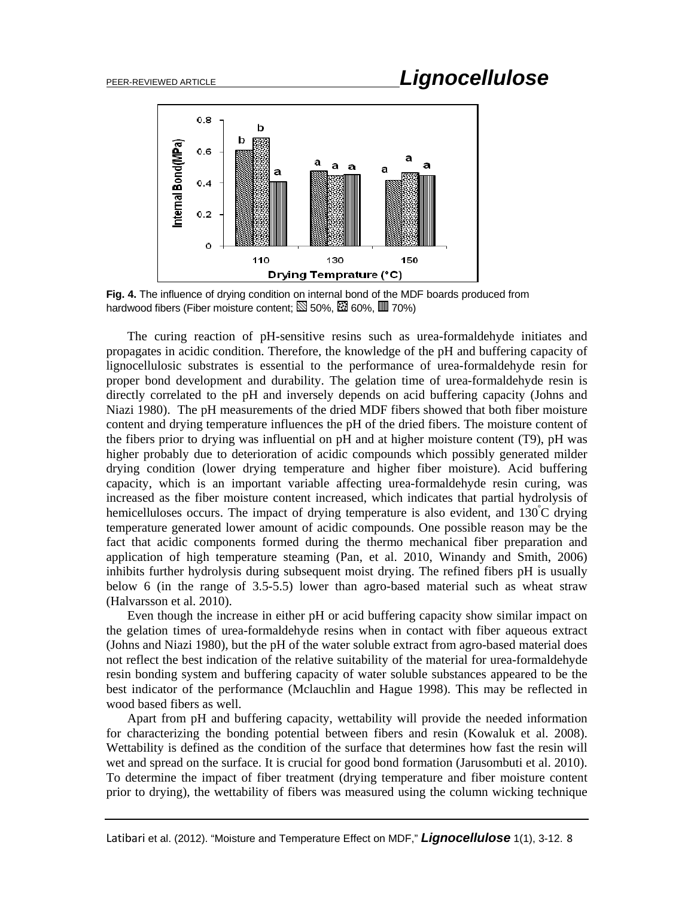

**Fig. 4.** The influence of drying condition on internal bond of the MDF boards produced from hardwood fibers (Fiber moisture content;  $\mathbb{S}$  50%,  $\mathbb{S}$  60%,  $\mathbb{I}$  70%)

The curing reaction of pH-sensitive resins such as urea-formaldehyde initiates and propagates in acidic condition. Therefore, the knowledge of the pH and buffering capacity of lignocellulosic substrates is essential to the performance of urea-formaldehyde resin for proper bond development and durability. The gelation time of urea-formaldehyde resin is directly correlated to the pH and inversely depends on acid buffering capacity (Johns and Niazi 1980). The pH measurements of the dried MDF fibers showed that both fiber moisture content and drying temperature influences the pH of the dried fibers. The moisture content of the fibers prior to drying was influential on pH and at higher moisture content (T9), pH was higher probably due to deterioration of acidic compounds which possibly generated milder drying condition (lower drying temperature and higher fiber moisture). Acid buffering capacity, which is an important variable affecting urea-formaldehyde resin curing, was increased as the fiber moisture content increased, which indicates that partial hydrolysis of hemicelluloses occurs. The impact of drying temperature is also evident, and 130°C drying temperature generated lower amount of acidic compounds. One possible reason may be the fact that acidic components formed during the thermo mechanical fiber preparation and application of high temperature steaming (Pan, et al. 2010, Winandy and Smith, 2006) inhibits further hydrolysis during subsequent moist drying. The refined fibers pH is usually below 6 (in the range of 3.5-5.5) lower than agro-based material such as wheat straw (Halvarsson et al. 2010).

Even though the increase in either pH or acid buffering capacity show similar impact on the gelation times of urea-formaldehyde resins when in contact with fiber aqueous extract (Johns and Niazi 1980), but the pH of the water soluble extract from agro-based material does not reflect the best indication of the relative suitability of the material for urea-formaldehyde resin bonding system and buffering capacity of water soluble substances appeared to be the best indicator of the performance (Mclauchlin and Hague 1998). This may be reflected in wood based fibers as well.

Apart from pH and buffering capacity, wettability will provide the needed information for characterizing the bonding potential between fibers and resin (Kowaluk et al. 2008). Wettability is defined as the condition of the surface that determines how fast the resin will wet and spread on the surface. It is crucial for good bond formation (Jarusombuti et al. 2010). To determine the impact of fiber treatment (drying temperature and fiber moisture content prior to drying), the wettability of fibers was measured using the column wicking technique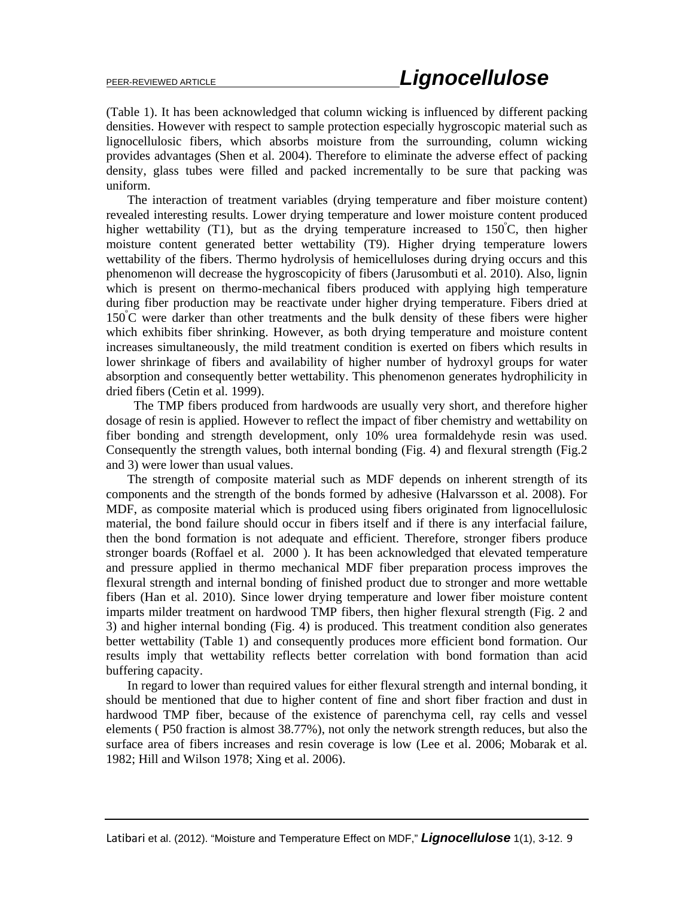(Table 1). It has been acknowledged that column wicking is influenced by different packing densities. However with respect to sample protection especially hygroscopic material such as lignocellulosic fibers, which absorbs moisture from the surrounding, column wicking provides advantages (Shen et al. 2004). Therefore to eliminate the adverse effect of packing density, glass tubes were filled and packed incrementally to be sure that packing was uniform.

The interaction of treatment variables (drying temperature and fiber moisture content) revealed interesting results. Lower drying temperature and lower moisture content produced higher wettability (T1), but as the drying temperature increased to 150°C, then higher moisture content generated better wettability (T9). Higher drying temperature lowers wettability of the fibers. Thermo hydrolysis of hemicelluloses during drying occurs and this phenomenon will decrease the hygroscopicity of fibers (Jarusombuti et al. 2010). Also, lignin which is present on thermo-mechanical fibers produced with applying high temperature during fiber production may be reactivate under higher drying temperature. Fibers dried at 150º C were darker than other treatments and the bulk density of these fibers were higher which exhibits fiber shrinking. However, as both drying temperature and moisture content increases simultaneously, the mild treatment condition is exerted on fibers which results in lower shrinkage of fibers and availability of higher number of hydroxyl groups for water absorption and consequently better wettability. This phenomenon generates hydrophilicity in dried fibers (Cetin et al. 1999).

 The TMP fibers produced from hardwoods are usually very short, and therefore higher dosage of resin is applied. However to reflect the impact of fiber chemistry and wettability on fiber bonding and strength development, only 10% urea formaldehyde resin was used. Consequently the strength values, both internal bonding (Fig. 4) and flexural strength (Fig.2 and 3) were lower than usual values.

The strength of composite material such as MDF depends on inherent strength of its components and the strength of the bonds formed by adhesive (Halvarsson et al. 2008). For MDF, as composite material which is produced using fibers originated from lignocellulosic material, the bond failure should occur in fibers itself and if there is any interfacial failure, then the bond formation is not adequate and efficient. Therefore, stronger fibers produce stronger boards (Roffael et al. 2000 ). It has been acknowledged that elevated temperature and pressure applied in thermo mechanical MDF fiber preparation process improves the flexural strength and internal bonding of finished product due to stronger and more wettable fibers (Han et al. 2010). Since lower drying temperature and lower fiber moisture content imparts milder treatment on hardwood TMP fibers, then higher flexural strength (Fig. 2 and 3) and higher internal bonding (Fig. 4) is produced. This treatment condition also generates better wettability (Table 1) and consequently produces more efficient bond formation. Our results imply that wettability reflects better correlation with bond formation than acid buffering capacity.

In regard to lower than required values for either flexural strength and internal bonding, it should be mentioned that due to higher content of fine and short fiber fraction and dust in hardwood TMP fiber, because of the existence of parenchyma cell, ray cells and vessel elements ( P50 fraction is almost 38.77%), not only the network strength reduces, but also the surface area of fibers increases and resin coverage is low (Lee et al. 2006; Mobarak et al. 1982; Hill and Wilson 1978; Xing et al. 2006).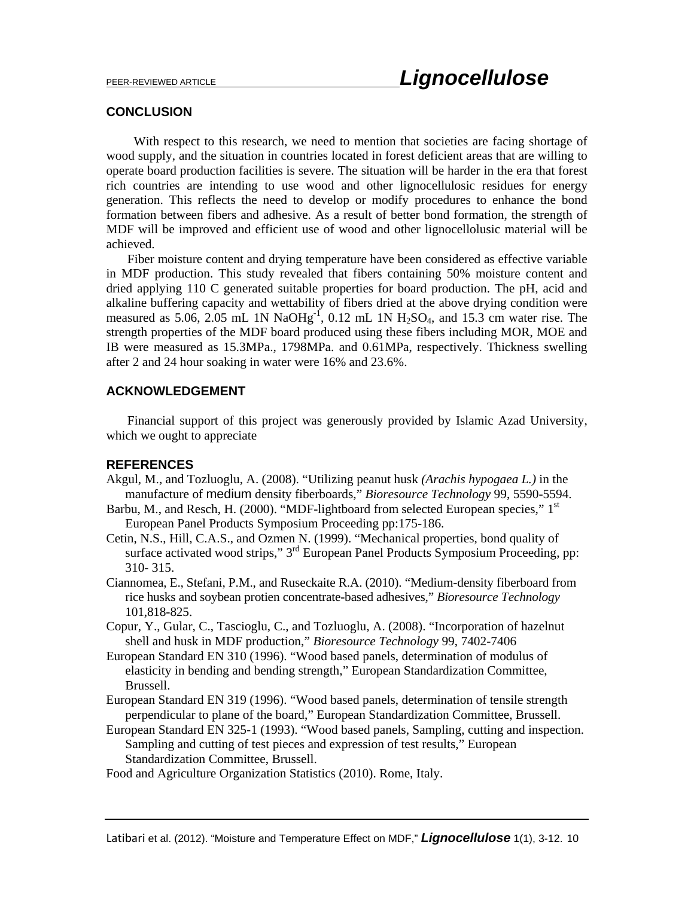# **CONCLUSION**

 With respect to this research, we need to mention that societies are facing shortage of wood supply, and the situation in countries located in forest deficient areas that are willing to operate board production facilities is severe. The situation will be harder in the era that forest rich countries are intending to use wood and other lignocellulosic residues for energy generation. This reflects the need to develop or modify procedures to enhance the bond formation between fibers and adhesive. As a result of better bond formation, the strength of MDF will be improved and efficient use of wood and other lignocellolusic material will be achieved.

Fiber moisture content and drying temperature have been considered as effective variable in MDF production. This study revealed that fibers containing 50% moisture content and dried applying 110 C generated suitable properties for board production. The pH, acid and alkaline buffering capacity and wettability of fibers dried at the above drying condition were measured as 5.06, 2.05 mL 1N  $NaOHg<sup>-1</sup>$ , 0.12 mL 1N  $H<sub>2</sub>SO<sub>4</sub>$ , and 15.3 cm water rise. The strength properties of the MDF board produced using these fibers including MOR, MOE and IB were measured as 15.3MPa., 1798MPa. and 0.61MPa, respectively. Thickness swelling after 2 and 24 hour soaking in water were 16% and 23.6%.

# **ACKNOWLEDGEMENT**

Financial support of this project was generously provided by Islamic Azad University, which we ought to appreciate

## **REFERENCES**

- Akgul, M., and Tozluoglu, A. (2008). "Utilizing peanut husk *(Arachis hypogaea L.)* in the manufacture of medium density fiberboards," *Bioresource Technology* 99, 5590-5594.
- Barbu, M., and Resch, H. (2000). "MDF-lightboard from selected European species," 1<sup>st</sup> European Panel Products Symposium Proceeding pp:175-186.
- Cetin, N.S., Hill, C.A.S., and Ozmen N. (1999). "Mechanical properties, bond quality of surface activated wood strips," 3<sup>rd</sup> European Panel Products Symposium Proceeding, pp: 310- 315.
- Ciannomea, E., Stefani, P.M., and Ruseckaite R.A. (2010). "Medium-density fiberboard from rice husks and soybean protien concentrate-based adhesives," *Bioresource Technology*  101,818-825.
- Copur, Y., Gular, C., Tascioglu, C., and Tozluoglu, A. (2008). "Incorporation of hazelnut shell and husk in MDF production," *Bioresource Technology* 99, 7402-7406
- European Standard EN 310 (1996). "Wood based panels, determination of modulus of elasticity in bending and bending strength," European Standardization Committee, Brussell.
- European Standard EN 319 (1996). "Wood based panels, determination of tensile strength perpendicular to plane of the board," European Standardization Committee, Brussell.
- European Standard EN 325-1 (1993). "Wood based panels, Sampling, cutting and inspection. Sampling and cutting of test pieces and expression of test results," European Standardization Committee, Brussell.
- Food and Agriculture Organization Statistics (2010). Rome, Italy.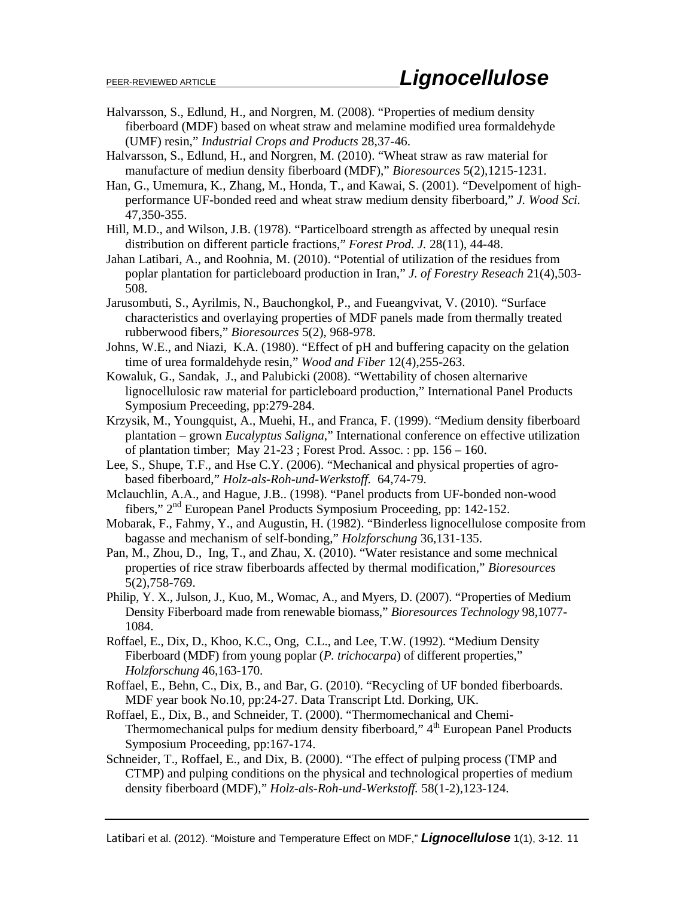- Halvarsson, S., Edlund, H., and Norgren, M. (2008). "Properties of medium density fiberboard (MDF) based on wheat straw and melamine modified urea formaldehyde (UMF) resin," *Industrial Crops and Products* 28,37-46.
- Halvarsson, S., Edlund, H., and Norgren, M. (2010). "Wheat straw as raw material for manufacture of mediun density fiberboard (MDF)," *Bioresources* 5(2),1215-1231.
- Han, G., Umemura, K., Zhang, M., Honda, T., and Kawai, S. (2001). "Develpoment of highperformance UF-bonded reed and wheat straw medium density fiberboard," *J. Wood Sci.* 47,350-355.
- Hill, M.D., and Wilson, J.B. (1978). "Particelboard strength as affected by unequal resin distribution on different particle fractions," *Forest Prod. J.* 28(11), 44-48.
- Jahan Latibari, A., and Roohnia, M. (2010). "Potential of utilization of the residues from poplar plantation for particleboard production in Iran," *J. of Forestry Reseach* 21(4),503- 508.
- Jarusombuti, S., Ayrilmis, N., Bauchongkol, P., and Fueangvivat, V. (2010). "Surface characteristics and overlaying properties of MDF panels made from thermally treated rubberwood fibers," *Bioresources* 5(2), 968-978.
- Johns, W.E., and Niazi, K.A. (1980). "Effect of pH and buffering capacity on the gelation time of urea formaldehyde resin," *Wood and Fiber* 12(4),255-263.
- Kowaluk, G., Sandak, J., and Palubicki (2008). "Wettability of chosen alternarive lignocellulosic raw material for particleboard production," International Panel Products Symposium Preceeding, pp:279-284.
- Krzysik, M., Youngquist, A., Muehi, H., and Franca, F. (1999). "Medium density fiberboard plantation – grown *Eucalyptus Saligna*," International conference on effective utilization of plantation timber; May  $21-23$ ; Forest Prod. Assoc.: pp.  $156 - 160$ .
- Lee, S., Shupe, T.F., and Hse C.Y. (2006). "Mechanical and physical properties of agrobased fiberboard," *Holz-als-Roh-und-Werkstoff.* 64,74-79.
- Mclauchlin, A.A., and Hague, J.B.. (1998). "Panel products from UF-bonded non-wood fibers," 2nd European Panel Products Symposium Proceeding, pp: 142-152.
- Mobarak, F., Fahmy, Y., and Augustin, H. (1982). "Binderless lignocellulose composite from bagasse and mechanism of self-bonding," *Holzforschung* 36,131-135.
- Pan, M., Zhou, D., Ing, T., and Zhau, X. (2010). "Water resistance and some mechnical properties of rice straw fiberboards affected by thermal modification," *Bioresources* 5(2),758-769.
- Philip, Y. X., Julson, J., Kuo, M., Womac, A., and Myers, D. (2007). "Properties of Medium Density Fiberboard made from renewable biomass," *Bioresources Technology* 98,1077- 1084.
- Roffael, E., Dix, D., Khoo, K.C., Ong, C.L., and Lee, T.W. (1992). "Medium Density Fiberboard (MDF) from young poplar (*P. trichocarpa*) of different properties," *Holzforschung* 46,163-170.
- Roffael, E., Behn, C., Dix, B., and Bar, G. (2010). "Recycling of UF bonded fiberboards. MDF year book No.10, pp:24-27. Data Transcript Ltd. Dorking, UK.
- Roffael, E., Dix, B., and Schneider, T. (2000). "Thermomechanical and Chemi-Thermomechanical pulps for medium density fiberboard," 4<sup>th</sup> European Panel Products Symposium Proceeding, pp:167-174.
- Schneider, T., Roffael, E., and Dix, B. (2000). "The effect of pulping process (TMP and CTMP) and pulping conditions on the physical and technological properties of medium density fiberboard (MDF)," *Holz-als-Roh-und-Werkstoff.* 58(1-2),123-124.